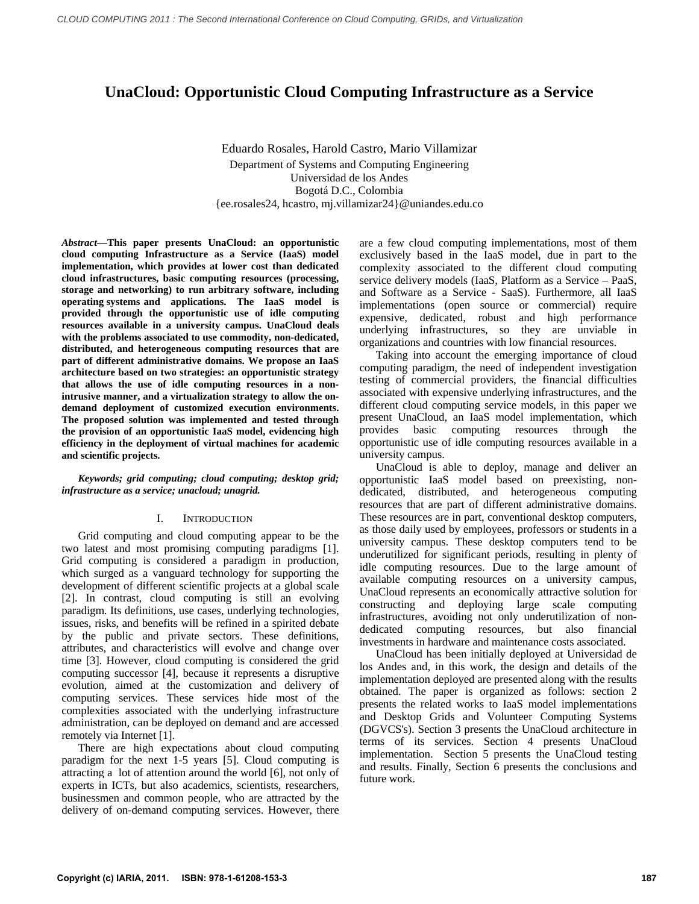# **UnaCloud: Opportunistic Cloud Computing Infrastructure as a Service**

Eduardo Rosales, Harold Castro, Mario Villamizar Department of Systems and Computing Engineering Universidad de los Andes Bogotá D.C., Colombia {ee.rosales24, hcastro, mj.villamizar24}@uniandes.edu.co

*Abstract***—This paper presents UnaCloud: an opportunistic cloud computing Infrastructure as a Service (IaaS) model implementation, which provides at lower cost than dedicated cloud infrastructures, basic computing resources (processing, storage and networking) to run arbitrary software, including operating systems and applications. The IaaS model is provided through the opportunistic use of idle computing resources available in a university campus. UnaCloud deals with the problems associated to use commodity, non-dedicated, distributed, and heterogeneous computing resources that are part of different administrative domains. We propose an IaaS architecture based on two strategies: an opportunistic strategy that allows the use of idle computing resources in a nonintrusive manner, and a virtualization strategy to allow the ondemand deployment of customized execution environments. The proposed solution was implemented and tested through the provision of an opportunistic IaaS model, evidencing high efficiency in the deployment of virtual machines for academic and scientific projects.** 

*Keywords; grid computing; cloud computing; desktop grid; infrastructure as a service; unacloud; unagrid.* 

#### I. INTRODUCTION

Grid computing and cloud computing appear to be the two latest and most promising computing paradigms [1]. Grid computing is considered a paradigm in production, which surged as a vanguard technology for supporting the development of different scientific projects at a global scale [2]. In contrast, cloud computing is still an evolving paradigm. Its definitions, use cases, underlying technologies, issues, risks, and benefits will be refined in a spirited debate by the public and private sectors. These definitions, attributes, and characteristics will evolve and change over time [3]. However, cloud computing is considered the grid computing successor [4], because it represents a disruptive evolution, aimed at the customization and delivery of computing services. These services hide most of the complexities associated with the underlying infrastructure administration, can be deployed on demand and are accessed remotely via Internet [1].

There are high expectations about cloud computing paradigm for the next 1-5 years [5]. Cloud computing is attracting a lot of attention around the world [6], not only of experts in ICTs, but also academics, scientists, researchers, businessmen and common people, who are attracted by the delivery of on-demand computing services. However, there

are a few cloud computing implementations, most of them exclusively based in the IaaS model, due in part to the complexity associated to the different cloud computing service delivery models (IaaS, Platform as a Service – PaaS, and Software as a Service - SaaS). Furthermore, all IaaS implementations (open source or commercial) require expensive, dedicated, robust and high performance underlying infrastructures, so they are unviable in organizations and countries with low financial resources.

Taking into account the emerging importance of cloud computing paradigm, the need of independent investigation testing of commercial providers, the financial difficulties associated with expensive underlying infrastructures, and the different cloud computing service models, in this paper we present UnaCloud, an IaaS model implementation, which provides basic computing resources through the opportunistic use of idle computing resources available in a university campus.

UnaCloud is able to deploy, manage and deliver an opportunistic IaaS model based on preexisting, nondedicated, distributed, and heterogeneous computing resources that are part of different administrative domains. These resources are in part, conventional desktop computers, as those daily used by employees, professors or students in a university campus. These desktop computers tend to be underutilized for significant periods, resulting in plenty of idle computing resources. Due to the large amount of available computing resources on a university campus, UnaCloud represents an economically attractive solution for constructing and deploying large scale computing infrastructures, avoiding not only underutilization of nondedicated computing resources, but also financial investments in hardware and maintenance costs associated.

UnaCloud has been initially deployed at Universidad de los Andes and, in this work, the design and details of the implementation deployed are presented along with the results obtained. The paper is organized as follows: section 2 presents the related works to IaaS model implementations and Desktop Grids and Volunteer Computing Systems (DGVCS's). Section 3 presents the UnaCloud architecture in terms of its services. Section 4 presents UnaCloud implementation. Section 5 presents the UnaCloud testing and results. Finally, Section 6 presents the conclusions and future work.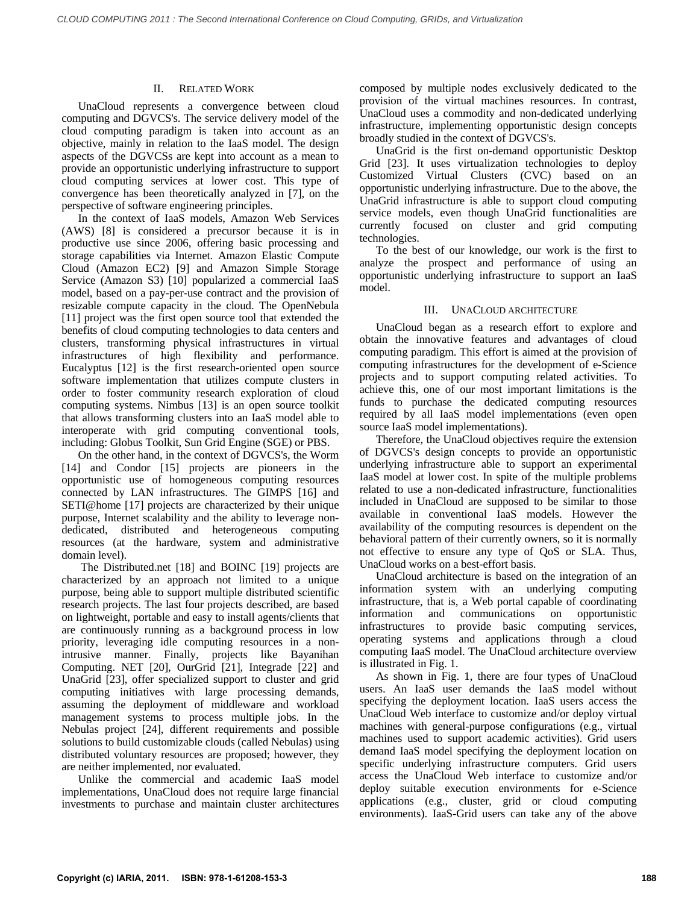## II. RELATED WORK

UnaCloud represents a convergence between cloud computing and DGVCS's. The service delivery model of the cloud computing paradigm is taken into account as an objective, mainly in relation to the IaaS model. The design aspects of the DGVCSs are kept into account as a mean to provide an opportunistic underlying infrastructure to support cloud computing services at lower cost. This type of convergence has been theoretically analyzed in [7], on the perspective of software engineering principles.

In the context of IaaS models, Amazon Web Services (AWS) [8] is considered a precursor because it is in productive use since 2006, offering basic processing and storage capabilities via Internet. Amazon Elastic Compute Cloud (Amazon EC2) [9] and Amazon Simple Storage Service (Amazon S3) [10] popularized a commercial IaaS model, based on a pay-per-use contract and the provision of resizable compute capacity in the cloud. The OpenNebula [11] project was the first open source tool that extended the benefits of cloud computing technologies to data centers and clusters, transforming physical infrastructures in virtual infrastructures of high flexibility and performance. Eucalyptus [12] is the first research-oriented open source software implementation that utilizes compute clusters in order to foster community research exploration of cloud computing systems. Nimbus [13] is an open source toolkit that allows transforming clusters into an IaaS model able to interoperate with grid computing conventional tools, including: Globus Toolkit, Sun Grid Engine (SGE) or PBS.

On the other hand, in the context of DGVCS's, the Worm [14] and Condor [15] projects are pioneers in the opportunistic use of homogeneous computing resources connected by LAN infrastructures. The GIMPS [16] and SETI@home [17] projects are characterized by their unique purpose, Internet scalability and the ability to leverage nondedicated, distributed and heterogeneous computing resources (at the hardware, system and administrative domain level).

 The Distributed.net [18] and BOINC [19] projects are characterized by an approach not limited to a unique purpose, being able to support multiple distributed scientific research projects. The last four projects described, are based on lightweight, portable and easy to install agents/clients that are continuously running as a background process in low priority, leveraging idle computing resources in a nonintrusive manner. Finally, projects like Bayanihan Computing. NET [20], OurGrid [21], Integrade [22] and UnaGrid [23], offer specialized support to cluster and grid computing initiatives with large processing demands, assuming the deployment of middleware and workload management systems to process multiple jobs. In the Nebulas project [24], different requirements and possible solutions to build customizable clouds (called Nebulas) using distributed voluntary resources are proposed; however, they are neither implemented, nor evaluated.

Unlike the commercial and academic IaaS model implementations, UnaCloud does not require large financial investments to purchase and maintain cluster architectures

composed by multiple nodes exclusively dedicated to the provision of the virtual machines resources. In contrast, UnaCloud uses a commodity and non-dedicated underlying infrastructure, implementing opportunistic design concepts broadly studied in the context of DGVCS's.

UnaGrid is the first on-demand opportunistic Desktop Grid [23]. It uses virtualization technologies to deploy Customized Virtual Clusters (CVC) based on an opportunistic underlying infrastructure. Due to the above, the UnaGrid infrastructure is able to support cloud computing service models, even though UnaGrid functionalities are currently focused on cluster and grid computing technologies.

To the best of our knowledge, our work is the first to analyze the prospect and performance of using an opportunistic underlying infrastructure to support an IaaS model.

## III. UNACLOUD ARCHITECTURE

UnaCloud began as a research effort to explore and obtain the innovative features and advantages of cloud computing paradigm. This effort is aimed at the provision of computing infrastructures for the development of e-Science projects and to support computing related activities. To achieve this, one of our most important limitations is the funds to purchase the dedicated computing resources required by all IaaS model implementations (even open source IaaS model implementations).

Therefore, the UnaCloud objectives require the extension of DGVCS's design concepts to provide an opportunistic underlying infrastructure able to support an experimental IaaS model at lower cost. In spite of the multiple problems related to use a non-dedicated infrastructure, functionalities included in UnaCloud are supposed to be similar to those available in conventional IaaS models. However the availability of the computing resources is dependent on the behavioral pattern of their currently owners, so it is normally not effective to ensure any type of QoS or SLA. Thus, UnaCloud works on a best-effort basis.

UnaCloud architecture is based on the integration of an information system with an underlying computing infrastructure, that is, a Web portal capable of coordinating information and communications on opportunistic infrastructures to provide basic computing services, operating systems and applications through a cloud computing IaaS model. The UnaCloud architecture overview is illustrated in Fig. 1.

As shown in Fig. 1, there are four types of UnaCloud users. An IaaS user demands the IaaS model without specifying the deployment location. IaaS users access the UnaCloud Web interface to customize and/or deploy virtual machines with general-purpose configurations (e.g., virtual machines used to support academic activities). Grid users demand IaaS model specifying the deployment location on specific underlying infrastructure computers. Grid users access the UnaCloud Web interface to customize and/or deploy suitable execution environments for e-Science applications (e.g., cluster, grid or cloud computing environments). IaaS-Grid users can take any of the above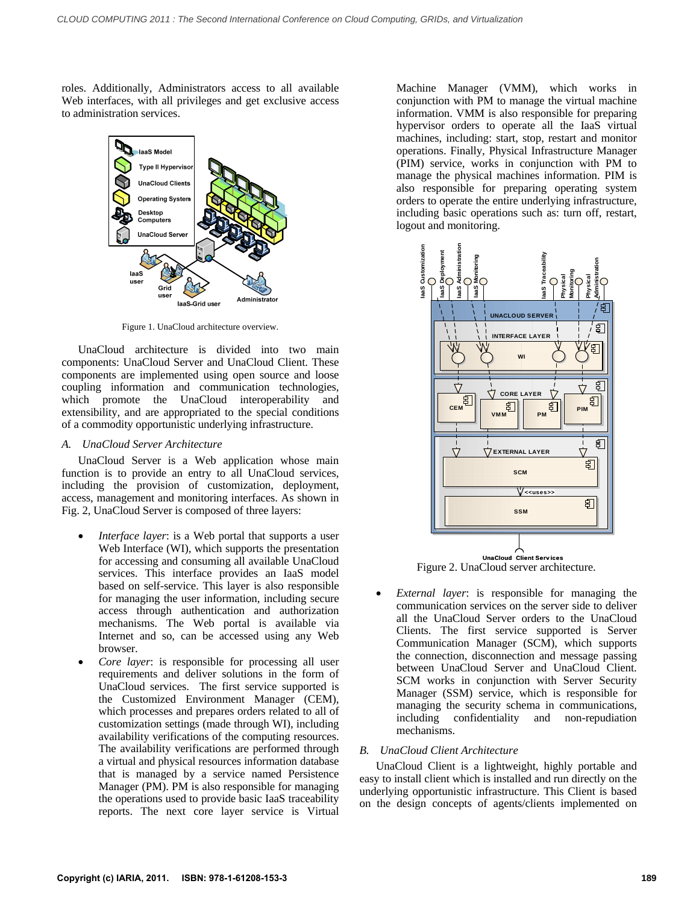roles. Additionally, Administrators access to all available Web interfaces, with all privileges and get exclusive access to administration services.



Figure 1. UnaCloud architecture overview.

UnaCloud architecture is divided into two main components: UnaCloud Server and UnaCloud Client. These components are implemented using open source and loose coupling information and communication technologies, which promote the UnaCloud interoperability and extensibility, and are appropriated to the special conditions of a commodity opportunistic underlying infrastructure.

### *A. UnaCloud Server Architecture*

UnaCloud Server is a Web application whose main function is to provide an entry to all UnaCloud services, including the provision of customization, deployment, access, management and monitoring interfaces. As shown in Fig. 2, UnaCloud Server is composed of three layers:

- *Interface layer*: is a Web portal that supports a user Web Interface (WI), which supports the presentation for accessing and consuming all available UnaCloud services. This interface provides an IaaS model based on self-service. This layer is also responsible for managing the user information, including secure access through authentication and authorization mechanisms. The Web portal is available via Internet and so, can be accessed using any Web browser.
- *Core layer*: is responsible for processing all user requirements and deliver solutions in the form of UnaCloud services. The first service supported is the Customized Environment Manager (CEM), which processes and prepares orders related to all of customization settings (made through WI), including availability verifications of the computing resources. The availability verifications are performed through a virtual and physical resources information database that is managed by a service named Persistence Manager (PM). PM is also responsible for managing the operations used to provide basic IaaS traceability reports. The next core layer service is Virtual

Machine Manager (VMM), which works in conjunction with PM to manage the virtual machine information. VMM is also responsible for preparing hypervisor orders to operate all the IaaS virtual machines, including: start, stop, restart and monitor operations. Finally, Physical Infrastructure Manager (PIM) service, works in conjunction with PM to manage the physical machines information. PIM is also responsible for preparing operating system orders to operate the entire underlying infrastructure, including basic operations such as: turn off, restart, logout and monitoring.



Figure 2. UnaCloud server architecture.

 *External layer*: is responsible for managing the communication services on the server side to deliver all the UnaCloud Server orders to the UnaCloud Clients. The first service supported is Server Communication Manager (SCM), which supports the connection, disconnection and message passing between UnaCloud Server and UnaCloud Client. SCM works in conjunction with Server Security Manager (SSM) service, which is responsible for managing the security schema in communications, including confidentiality and non-repudiation mechanisms.

## *B. UnaCloud Client Architecture*

UnaCloud Client is a lightweight, highly portable and easy to install client which is installed and run directly on the underlying opportunistic infrastructure. This Client is based on the design concepts of agents/clients implemented on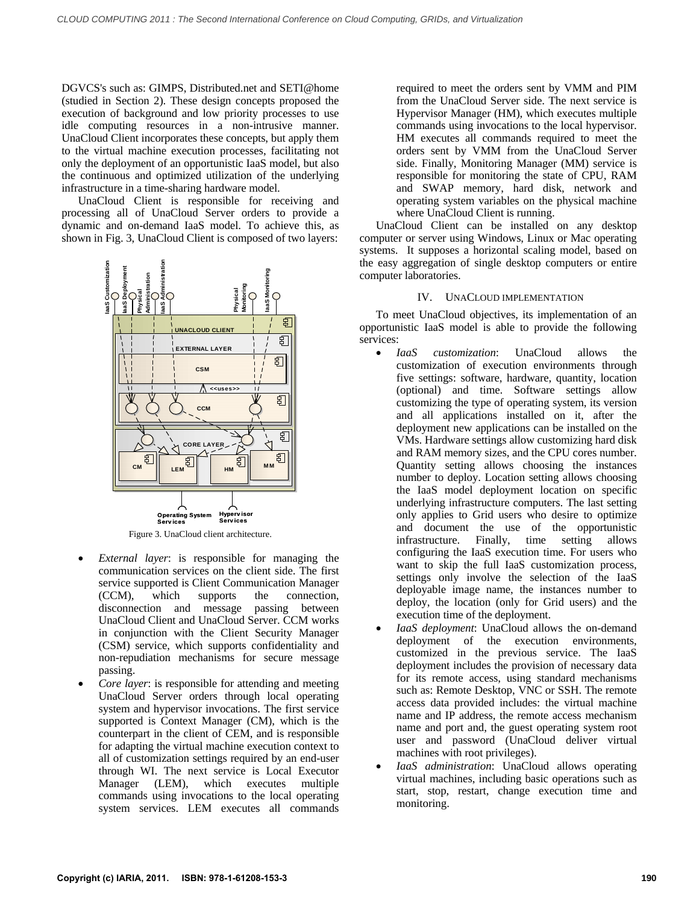DGVCS's such as: GIMPS, Distributed.net and SETI@home (studied in Section 2). These design concepts proposed the execution of background and low priority processes to use idle computing resources in a non-intrusive manner. UnaCloud Client incorporates these concepts, but apply them to the virtual machine execution processes, facilitating not only the deployment of an opportunistic IaaS model, but also the continuous and optimized utilization of the underlying infrastructure in a time-sharing hardware model.

UnaCloud Client is responsible for receiving and processing all of UnaCloud Server orders to provide a dynamic and on-demand IaaS model. To achieve this, as shown in Fig. 3, UnaCloud Client is composed of two layers:



Figure 3. UnaCloud client architecture.

- *External layer*: is responsible for managing the communication services on the client side. The first service supported is Client Communication Manager (CCM), which supports the connection, disconnection and message passing between UnaCloud Client and UnaCloud Server. CCM works in conjunction with the Client Security Manager (CSM) service, which supports confidentiality and non-repudiation mechanisms for secure message passing.
- *Core layer*: is responsible for attending and meeting UnaCloud Server orders through local operating system and hypervisor invocations. The first service supported is Context Manager (CM), which is the counterpart in the client of CEM, and is responsible for adapting the virtual machine execution context to all of customization settings required by an end-user through WI. The next service is Local Executor Manager (LEM), which executes multiple commands using invocations to the local operating system services. LEM executes all commands

required to meet the orders sent by VMM and PIM from the UnaCloud Server side. The next service is Hypervisor Manager (HM), which executes multiple commands using invocations to the local hypervisor. HM executes all commands required to meet the orders sent by VMM from the UnaCloud Server side. Finally, Monitoring Manager (MM) service is responsible for monitoring the state of CPU, RAM and SWAP memory, hard disk, network and operating system variables on the physical machine where UnaCloud Client is running.

UnaCloud Client can be installed on any desktop computer or server using Windows, Linux or Mac operating systems. It supposes a horizontal scaling model, based on the easy aggregation of single desktop computers or entire computer laboratories.

# IV. UNACLOUD IMPLEMENTATION

To meet UnaCloud objectives, its implementation of an opportunistic IaaS model is able to provide the following services:

- *IaaS customization*: UnaCloud allows the customization of execution environments through five settings: software, hardware, quantity, location (optional) and time. Software settings allow customizing the type of operating system, its version and all applications installed on it, after the deployment new applications can be installed on the VMs. Hardware settings allow customizing hard disk and RAM memory sizes, and the CPU cores number. Quantity setting allows choosing the instances number to deploy. Location setting allows choosing the IaaS model deployment location on specific underlying infrastructure computers. The last setting only applies to Grid users who desire to optimize and document the use of the opportunistic infrastructure. Finally, time setting allows configuring the IaaS execution time. For users who want to skip the full IaaS customization process, settings only involve the selection of the IaaS deployable image name, the instances number to deploy, the location (only for Grid users) and the execution time of the deployment.
- *IaaS deployment*: UnaCloud allows the on-demand deployment of the execution environments, customized in the previous service. The IaaS deployment includes the provision of necessary data for its remote access, using standard mechanisms such as: Remote Desktop, VNC or SSH. The remote access data provided includes: the virtual machine name and IP address, the remote access mechanism name and port and, the guest operating system root user and password (UnaCloud deliver virtual machines with root privileges).
- *IaaS administration*: UnaCloud allows operating virtual machines, including basic operations such as start, stop, restart, change execution time and monitoring.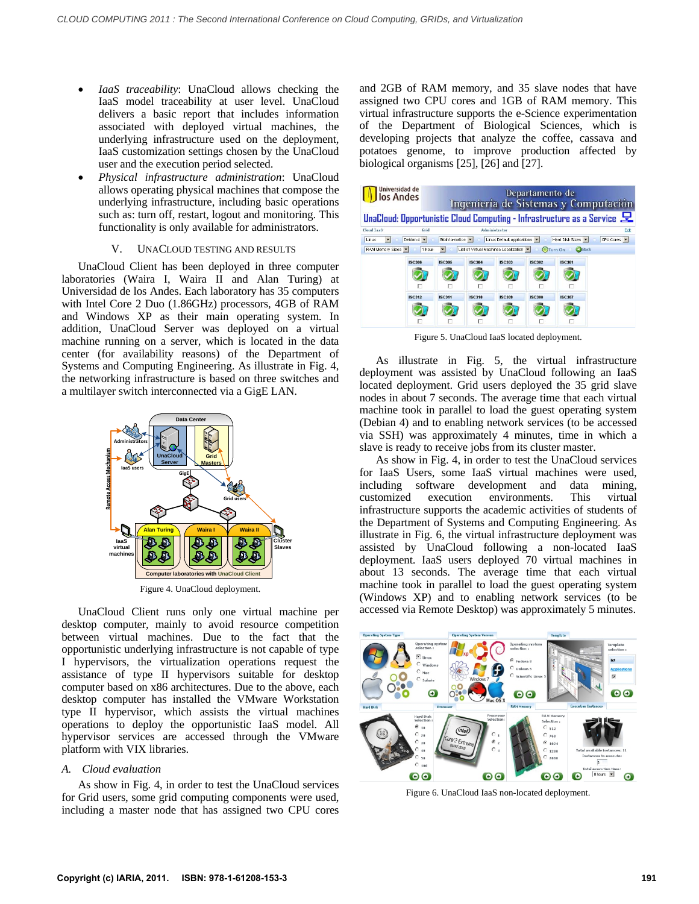- *IaaS traceability*: UnaCloud allows checking the IaaS model traceability at user level. UnaCloud delivers a basic report that includes information associated with deployed virtual machines, the underlying infrastructure used on the deployment, IaaS customization settings chosen by the UnaCloud user and the execution period selected.
- *Physical infrastructure administration*: UnaCloud allows operating physical machines that compose the underlying infrastructure, including basic operations such as: turn off, restart, logout and monitoring. This functionality is only available for administrators.

### V. UNACLOUD TESTING AND RESULTS

UnaCloud Client has been deployed in three computer laboratories (Waira I, Waira II and Alan Turing) at Universidad de los Andes. Each laboratory has 35 computers with Intel Core 2 Duo (1.86GHz) processors, 4GB of RAM and Windows XP as their main operating system. In addition, UnaCloud Server was deployed on a virtual machine running on a server, which is located in the data center (for availability reasons) of the Department of Systems and Computing Engineering. As illustrate in Fig. 4, the networking infrastructure is based on three switches and a multilayer switch interconnected via a GigE LAN.



Figure 4. UnaCloud deployment.

UnaCloud Client runs only one virtual machine per desktop computer, mainly to avoid resource competition between virtual machines. Due to the fact that the opportunistic underlying infrastructure is not capable of type I hypervisors, the virtualization operations request the assistance of type II hypervisors suitable for desktop computer based on x86 architectures. Due to the above, each desktop computer has installed the VMware Workstation type II hypervisor, which assists the virtual machines operations to deploy the opportunistic IaaS model. All hypervisor services are accessed through the VMware platform with VIX libraries.

## *A. Cloud evaluation*

As show in Fig. 4, in order to test the UnaCloud services for Grid users, some grid computing components were used, including a master node that has assigned two CPU cores

and 2GB of RAM memory, and 35 slave nodes that have assigned two CPU cores and 1GB of RAM memory. This virtual infrastructure supports the e-Science experimentation of the Department of Biological Sciences, which is developing projects that analyze the coffee, cassava and potatoes genome, to improve production affected by biological organisms [25], [26] and [27].



Figure 5. UnaCloud IaaS located deployment.

As illustrate in Fig. 5, the virtual infrastructure deployment was assisted by UnaCloud following an IaaS located deployment. Grid users deployed the 35 grid slave nodes in about 7 seconds. The average time that each virtual machine took in parallel to load the guest operating system (Debian 4) and to enabling network services (to be accessed via SSH) was approximately 4 minutes, time in which a slave is ready to receive jobs from its cluster master.

As show in Fig. 4, in order to test the UnaCloud services for IaaS Users, some IaaS virtual machines were used, including software development and data mining, customized execution environments. This virtual infrastructure supports the academic activities of students of the Department of Systems and Computing Engineering. As illustrate in Fig. 6, the virtual infrastructure deployment was assisted by UnaCloud following a non-located IaaS deployment. IaaS users deployed 70 virtual machines in about 13 seconds. The average time that each virtual machine took in parallel to load the guest operating system (Windows XP) and to enabling network services (to be accessed via Remote Desktop) was approximately 5 minutes.



Figure 6. UnaCloud IaaS non-located deployment.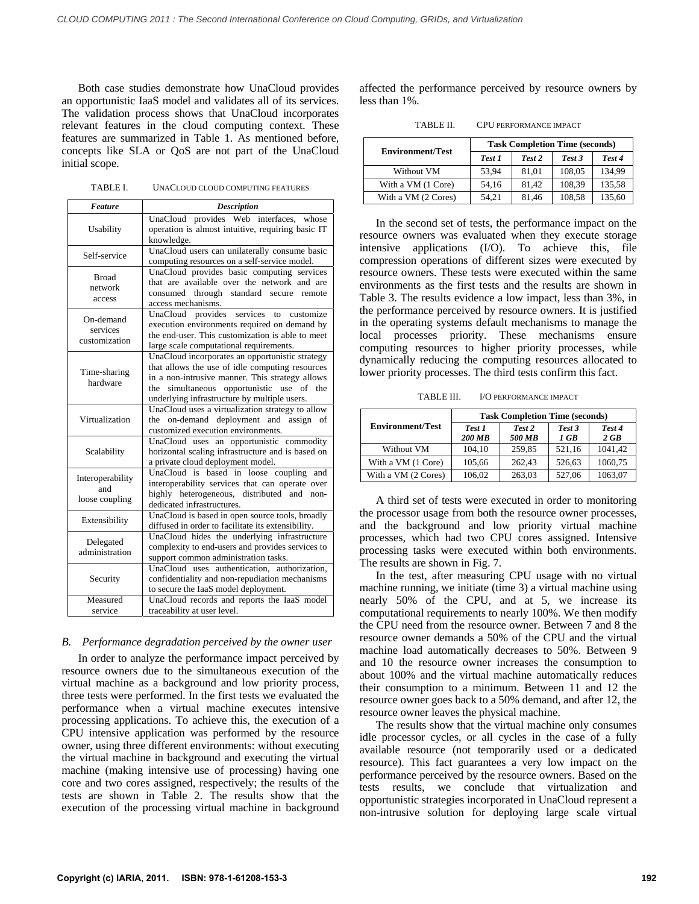Both case studies demonstrate how UnaCloud provides an opportunistic IaaS model and validates all of its services. The validation process shows that UnaCloud incorporates relevant features in the cloud computing context. These features are summarized in Table 1. As mentioned before, concepts like SLA or QoS are not part of the UnaCloud initial scope.

TABLE I. UNACLOUD CLOUD COMPUTING FEATURES

| <b>Feature</b>                            | <b>Description</b>                                                                                                                                                                                                                                    |  |  |  |
|-------------------------------------------|-------------------------------------------------------------------------------------------------------------------------------------------------------------------------------------------------------------------------------------------------------|--|--|--|
| Usability                                 | UnaCloud provides Web interfaces, whose<br>operation is almost intuitive, requiring basic IT<br>knowledge.                                                                                                                                            |  |  |  |
| Self-service                              | UnaCloud users can unilaterally consume basic<br>computing resources on a self-service model.                                                                                                                                                         |  |  |  |
| <b>Broad</b><br>network<br>access         | UnaCloud provides basic computing services<br>that are available over the network and are<br>consumed through standard secure<br>remote<br>access mechanisms.                                                                                         |  |  |  |
| On-demand<br>services<br>customization    | provides<br>services<br>customize<br>UnaCloud<br>to<br>execution environments required on demand by<br>the end-user. This customization is able to meet<br>large scale computational requirements.                                                    |  |  |  |
| Time-sharing<br>hardware                  | UnaCloud incorporates an opportunistic strategy<br>that allows the use of idle computing resources<br>in a non-intrusive manner. This strategy allows<br>simultaneous opportunistic use of the<br>the<br>underlying infrastructure by multiple users. |  |  |  |
| Virtualization                            | UnaCloud uses a virtualization strategy to allow<br>on-demand deployment and assign of<br>the<br>customized execution environments.                                                                                                                   |  |  |  |
| Scalability                               | UnaCloud uses an opportunistic commodity<br>horizontal scaling infrastructure and is based on<br>a private cloud deployment model.                                                                                                                    |  |  |  |
| Interoperability<br>and<br>loose coupling | UnaCloud is based in loose coupling and<br>interoperability services that can operate over<br>highly heterogeneous, distributed and<br>non-<br>dedicated infrastructures.                                                                             |  |  |  |
| Extensibility                             | UnaCloud is based in open source tools, broadly<br>diffused in order to facilitate its extensibility.                                                                                                                                                 |  |  |  |
| Delegated<br>administration               | UnaCloud hides the underlying infrastructure<br>complexity to end-users and provides services to<br>support common administration tasks.                                                                                                              |  |  |  |
| Security                                  | UnaCloud uses authentication, authorization,<br>confidentiality and non-repudiation mechanisms<br>to secure the IaaS model deployment.                                                                                                                |  |  |  |
| Measured<br>service                       | UnaCloud records and reports the IaaS model<br>traceability at user level.                                                                                                                                                                            |  |  |  |

#### *B. Performance degradation perceived by the owner user*

In order to analyze the performance impact perceived by resource owners due to the simultaneous execution of the virtual machine as a background and low priority process, three tests were performed. In the first tests we evaluated the performance when a virtual machine executes intensive processing applications. To achieve this, the execution of a CPU intensive application was performed by the resource owner, using three different environments: without executing the virtual machine in background and executing the virtual machine (making intensive use of processing) having one core and two cores assigned, respectively; the results of the tests are shown in Table 2. The results show that the execution of the processing virtual machine in background affected the performance perceived by resource owners by less than 1%.

TABLE II. CPU PERFORMANCE IMPACT

| <b>Environment/Test</b> | <b>Task Completion Time (seconds)</b> |        |        |        |  |
|-------------------------|---------------------------------------|--------|--------|--------|--|
|                         | Test 1                                | Test 2 | Test 3 | Test 4 |  |
| Without VM              | 53.94                                 | 81.01  | 108,05 | 134.99 |  |
| With a VM (1 Core)      | 54.16                                 | 81.42  | 108.39 | 135,58 |  |
| With a VM (2 Cores)     | 54.21                                 | 81,46  | 108,58 | 135,60 |  |

In the second set of tests, the performance impact on the resource owners was evaluated when they execute storage intensive applications (I/O). To achieve this, file compression operations of different sizes were executed by resource owners. These tests were executed within the same environments as the first tests and the results are shown in Table 3. The results evidence a low impact, less than 3%, in the performance perceived by resource owners. It is justified in the operating systems default mechanisms to manage the local processes priority. These mechanisms ensure computing resources to higher priority processes, while dynamically reducing the computing resources allocated to lower priority processes. The third tests confirm this fact.

TABLE III. I/O PERFORMANCE IMPACT

| <b>Environment/Test</b> | <b>Task Completion Time (seconds)</b> |                  |                |                |  |
|-------------------------|---------------------------------------|------------------|----------------|----------------|--|
|                         | Test 1<br><b>200 MB</b>               | Test 2<br>500 MB | Test 3<br>1 GB | Test 4<br>2 GB |  |
| Without VM              | 104.10                                | 259,85           | 521.16         | 1041.42        |  |
| With a VM (1 Core)      | 105.66                                | 262.43           | 526.63         | 1060.75        |  |
| With a VM (2 Cores)     | 106,02                                | 263,03           | 527,06         | 1063,07        |  |

A third set of tests were executed in order to monitoring the processor usage from both the resource owner processes, and the background and low priority virtual machine processes, which had two CPU cores assigned. Intensive processing tasks were executed within both environments. The results are shown in Fig. 7.

In the test, after measuring CPU usage with no virtual machine running, we initiate (time 3) a virtual machine using nearly 50% of the CPU, and at 5, we increase its computational requirements to nearly 100%. We then modify the CPU need from the resource owner. Between 7 and 8 the resource owner demands a 50% of the CPU and the virtual machine load automatically decreases to 50%. Between 9 and 10 the resource owner increases the consumption to about 100% and the virtual machine automatically reduces their consumption to a minimum. Between 11 and 12 the resource owner goes back to a 50% demand, and after 12, the resource owner leaves the physical machine.

The results show that the virtual machine only consumes idle processor cycles, or all cycles in the case of a fully available resource (not temporarily used or a dedicated resource). This fact guarantees a very low impact on the performance perceived by the resource owners. Based on the tests results, we conclude that virtualization and opportunistic strategies incorporated in UnaCloud represent a non-intrusive solution for deploying large scale virtual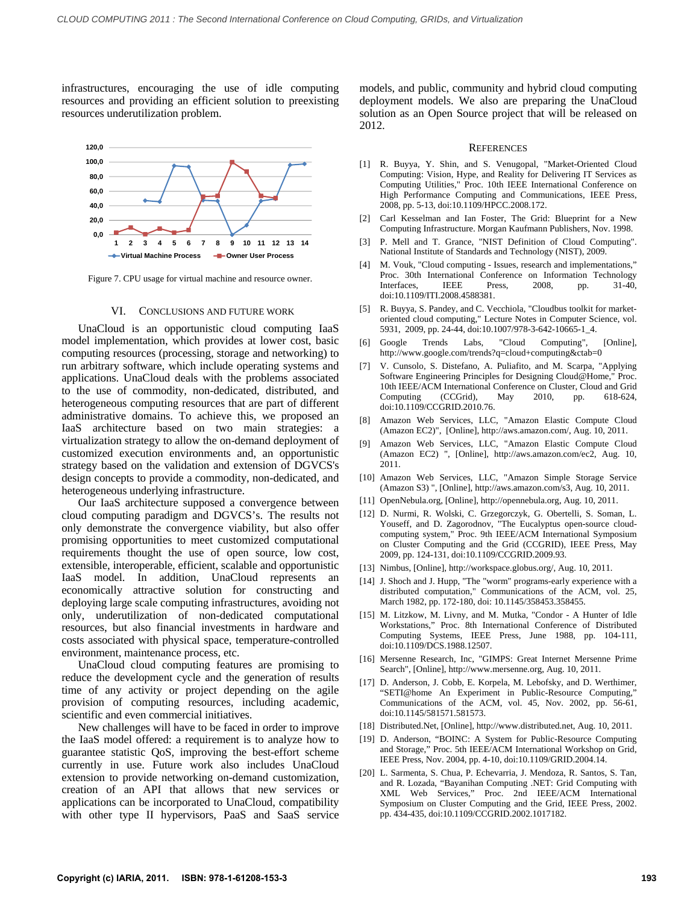infrastructures, encouraging the use of idle computing resources and providing an efficient solution to preexisting resources underutilization problem.



Figure 7. CPU usage for virtual machine and resource owner.

#### VI. CONCLUSIONS AND FUTURE WORK

UnaCloud is an opportunistic cloud computing IaaS model implementation, which provides at lower cost, basic computing resources (processing, storage and networking) to run arbitrary software, which include operating systems and applications. UnaCloud deals with the problems associated to the use of commodity, non-dedicated, distributed, and heterogeneous computing resources that are part of different administrative domains. To achieve this, we proposed an IaaS architecture based on two main strategies: a virtualization strategy to allow the on-demand deployment of customized execution environments and, an opportunistic strategy based on the validation and extension of DGVCS's design concepts to provide a commodity, non-dedicated, and heterogeneous underlying infrastructure.

Our IaaS architecture supposed a convergence between cloud computing paradigm and DGVCS's. The results not only demonstrate the convergence viability, but also offer promising opportunities to meet customized computational requirements thought the use of open source, low cost, extensible, interoperable, efficient, scalable and opportunistic IaaS model. In addition, UnaCloud represents an economically attractive solution for constructing and deploying large scale computing infrastructures, avoiding not only, underutilization of non-dedicated computational resources, but also financial investments in hardware and costs associated with physical space, temperature-controlled environment, maintenance process, etc.

UnaCloud cloud computing features are promising to reduce the development cycle and the generation of results time of any activity or project depending on the agile provision of computing resources, including academic, scientific and even commercial initiatives.

New challenges will have to be faced in order to improve the IaaS model offered: a requirement is to analyze how to guarantee statistic QoS, improving the best-effort scheme currently in use. Future work also includes UnaCloud extension to provide networking on-demand customization, creation of an API that allows that new services or applications can be incorporated to UnaCloud, compatibility with other type II hypervisors, PaaS and SaaS service models, and public, community and hybrid cloud computing deployment models. We also are preparing the UnaCloud solution as an Open Source project that will be released on 2012.

#### **REFERENCES**

- [1] R. Buyya, Y. Shin, and S. Venugopal, "Market-Oriented Cloud Computing: Vision, Hype, and Reality for Delivering IT Services as Computing Utilities," Proc. 10th IEEE International Conference on High Performance Computing and Communications, IEEE Press, 2008, pp. 5-13, doi:10.1109/HPCC.2008.172.
- [2] Carl Kesselman and Ian Foster, The Grid: Blueprint for a New Computing Infrastructure. Morgan Kaufmann Publishers, Nov. 1998.
- [3] P. Mell and T. Grance, "NIST Definition of Cloud Computing". National Institute of Standards and Technology (NIST), 2009.
- [4] M. Vouk, "Cloud computing Issues, research and implementations," Proc. 30th International Conference on Information Technology Interfaces, IEEE Press, 2008, pp. 31-40, doi:10.1109/ITI.2008.4588381.
- [5] R. Buyya, S. Pandey, and C. Vecchiola, "Cloudbus toolkit for marketoriented cloud computing," Lecture Notes in Computer Science, vol. 5931, 2009, pp. 24-44, doi:10.1007/978-3-642-10665-1\_4.
- [6] Google Trends Labs, "Cloud Computing", [Online], http://www.google.com/trends?q=cloud+computing&ctab=0
- [7] V. Cunsolo, S. Distefano, A. Puliafito, and M. Scarpa, "Applying Software Engineering Principles for Designing Cloud@Home," Proc. 10th IEEE/ACM International Conference on Cluster, Cloud and Grid Computing (CCGrid), May 2010, pp. 618-624, doi:10.1109/CCGRID.2010.76.
- [8] Amazon Web Services, LLC, "Amazon Elastic Compute Cloud (Amazon EC2)", [Online], http://aws.amazon.com/, Aug. 10, 2011.
- [9] Amazon Web Services, LLC, "Amazon Elastic Compute Cloud (Amazon EC2) ", [Online], http://aws.amazon.com/ec2, Aug. 10, 2011.
- [10] Amazon Web Services, LLC, "Amazon Simple Storage Service (Amazon S3) ", [Online], http://aws.amazon.com/s3, Aug. 10, 2011.
- [11] OpenNebula.org, [Online], http://opennebula.org, Aug. 10, 2011.
- [12] D. Nurmi, R. Wolski, C. Grzegorczyk, G. Obertelli, S. Soman, L. Youseff, and D. Zagorodnov, "The Eucalyptus open-source cloudcomputing system," Proc. 9th IEEE/ACM International Symposium on Cluster Computing and the Grid (CCGRID), IEEE Press, May 2009, pp. 124-131, doi:10.1109/CCGRID.2009.93.
- [13] Nimbus, [Online], http://workspace.globus.org/, Aug. 10, 2011.
- [14] J. Shoch and J. Hupp, "The "worm" programs-early experience with a distributed computation," Communications of the ACM, vol. 25, March 1982, pp. 172-180, doi: 10.1145/358453.358455.
- [15] M. Litzkow, M. Livny, and M. Mutka, "Condor A Hunter of Idle Workstations," Proc. 8th International Conference of Distributed Computing Systems, IEEE Press, June 1988, pp. 104-111, doi:10.1109/DCS.1988.12507.
- [16] Mersenne Research, Inc, "GIMPS: Great Internet Mersenne Prime Search", [Online], http://www.mersenne.org, Aug. 10, 2011.
- [17] D. Anderson, J. Cobb, E. Korpela, M. Lebofsky, and D. Werthimer, "SETI@home An Experiment in Public-Resource Computing," Communications of the ACM, vol. 45, Nov. 2002, pp. 56-61, doi:10.1145/581571.581573.
- [18] Distributed.Net, [Online], http://www.distributed.net, Aug. 10, 2011.
- [19] D. Anderson, "BOINC: A System for Public-Resource Computing and Storage," Proc. 5th IEEE/ACM International Workshop on Grid, IEEE Press, Nov. 2004, pp. 4-10, doi:10.1109/GRID.2004.14.
- [20] L. Sarmenta, S. Chua, P. Echevarria, J. Mendoza, R. Santos, S. Tan, and R. Lozada, "Bayanihan Computing .NET: Grid Computing with XML Web Services," Proc. 2nd IEEE/ACM International Symposium on Cluster Computing and the Grid, IEEE Press, 2002. pp. 434-435, doi:10.1109/CCGRID.2002.1017182.